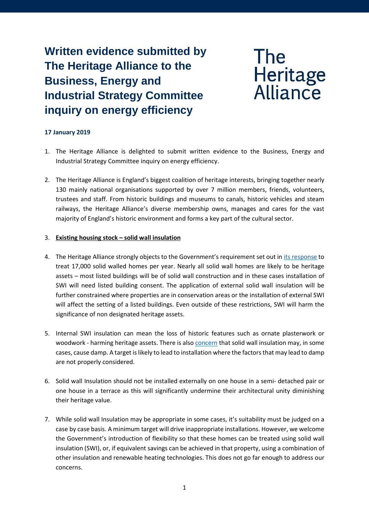**Written evidence submitted by The Heritage Alliance to the Business, Energy and Industrial Strategy Committee inquiry on energy efficiency**

**The** Heritage<br>Alliance

## **17 January 2019**

- 1. The Heritage Alliance is delighted to submit written evidence to the Business, Energy and Industrial Strategy Committee inquiry on energy efficiency.
- 2. The Heritage Alliance is England's biggest coalition of heritage interests, bringing together nearly 130 mainly national organisations supported by over 7 million members, friends, volunteers, trustees and staff. From historic buildings and museums to canals, historic vehicles and steam railways, the Heritage Alliance's diverse membership owns, manages and cares for the vast majority of England's historic environment and forms a key part of the cultural sector.

## 3. **Existing housing stock – solid wall insulation**

- 4. The Heritage Alliance strongly objects to the Government's requirement set out in [its response](https://assets.publishing.service.gov.uk/government/uploads/system/uploads/attachment_data/file/727065/Energy_Company_Obligation_ECO3_2018-2022.pdf) to treat 17,000 solid walled homes per year. Nearly all solid wall homes are likely to be heritage assets – most listed buildings will be of solid wall construction and in these cases installation of SWI will need listed building consent. The application of external solid wall insulation will be further constrained where properties are in conservation areas or the installation of external SWI will affect the setting of a listed buildings. Even outside of these restrictions, SWI will harm the significance of non designated heritage assets.
- 5. Internal SWI insulation can mean the loss of historic features such as ornate plasterwork or woodwork - harming heritage assets. There is also [concern](https://www.heritage-house.org/damp-and-condensation/solid-wall-insulation/bre-report-into-unintended-consequences-of-solid-wall-insulation.html) that solid wall insulation may, in some cases, cause damp. A target is likely to lead to installation where the factors that may lead to damp are not properly considered.
- 6. Solid wall Insulation should not be installed externally on one house in a semi- detached pair or one house in a terrace as this will significantly undermine their architectural unity diminishing their heritage value.
- 7. While solid wall Insulation may be appropriate in some cases, it's suitability must be judged on a case by case basis. A minimum target will drive inappropriate installations. However, we welcome the Government's introduction of flexibility so that these homes can be treated using solid wall insulation (SWI), or, if equivalent savings can be achieved in that property, using a combination of other insulation and renewable heating technologies. This does not go far enough to address our concerns.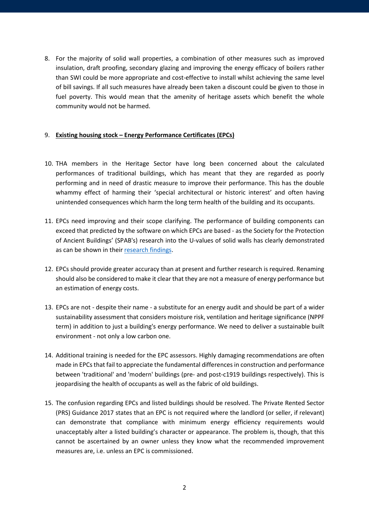8. For the majority of solid wall properties, a combination of other measures such as improved insulation, draft proofing, secondary glazing and improving the energy efficacy of boilers rather than SWI could be more appropriate and cost-effective to install whilst achieving the same level of bill savings. If all such measures have already been taken a discount could be given to those in fuel poverty. This would mean that the amenity of heritage assets which benefit the whole community would not be harmed.

## 9. **Existing housing stock – Energy Performance Certificates (EPCs)**

- 10. THA members in the Heritage Sector have long been concerned about the calculated performances of traditional buildings, which has meant that they are regarded as poorly performing and in need of drastic measure to improve their performance. This has the double whammy effect of harming their 'special architectural or historic interest' and often having unintended consequences which harm the long term health of the building and its occupants.
- 11. EPCs need improving and their scope clarifying. The performance of building components can exceed that predicted by the software on which EPCs are based - as the Society for the Protection of Ancient Buildings' (SPAB's) research into the U-values of solid walls has clearly demonstrated as can be shown in thei[r research findings.](https://www.spab.org.uk/advice/research/findings)
- 12. EPCs should provide greater accuracy than at present and further research is required. Renaming should also be considered to make it clear that they are not a measure of energy performance but an estimation of energy costs.
- 13. EPCs are not despite their name a substitute for an energy audit and should be part of a wider sustainability assessment that considers moisture risk, ventilation and heritage significance (NPPF term) in addition to just a building's energy performance. We need to deliver a sustainable built environment - not only a low carbon one.
- 14. Additional training is needed for the EPC assessors. Highly damaging recommendations are often made in EPCs that fail to appreciate the fundamental differences in construction and performance between 'traditional' and 'modern' buildings (pre- and post-c1919 buildings respectively). This is jeopardising the health of occupants as well as the fabric of old buildings.
- 15. The confusion regarding EPCs and listed buildings should be resolved. The Private Rented Sector (PRS) Guidance 2017 states that an EPC is not required where the landlord (or seller, if relevant) can demonstrate that compliance with minimum energy efficiency requirements would unacceptably alter a listed building's character or appearance. The problem is, though, that this cannot be ascertained by an owner unless they know what the recommended improvement measures are, i.e. unless an EPC is commissioned.